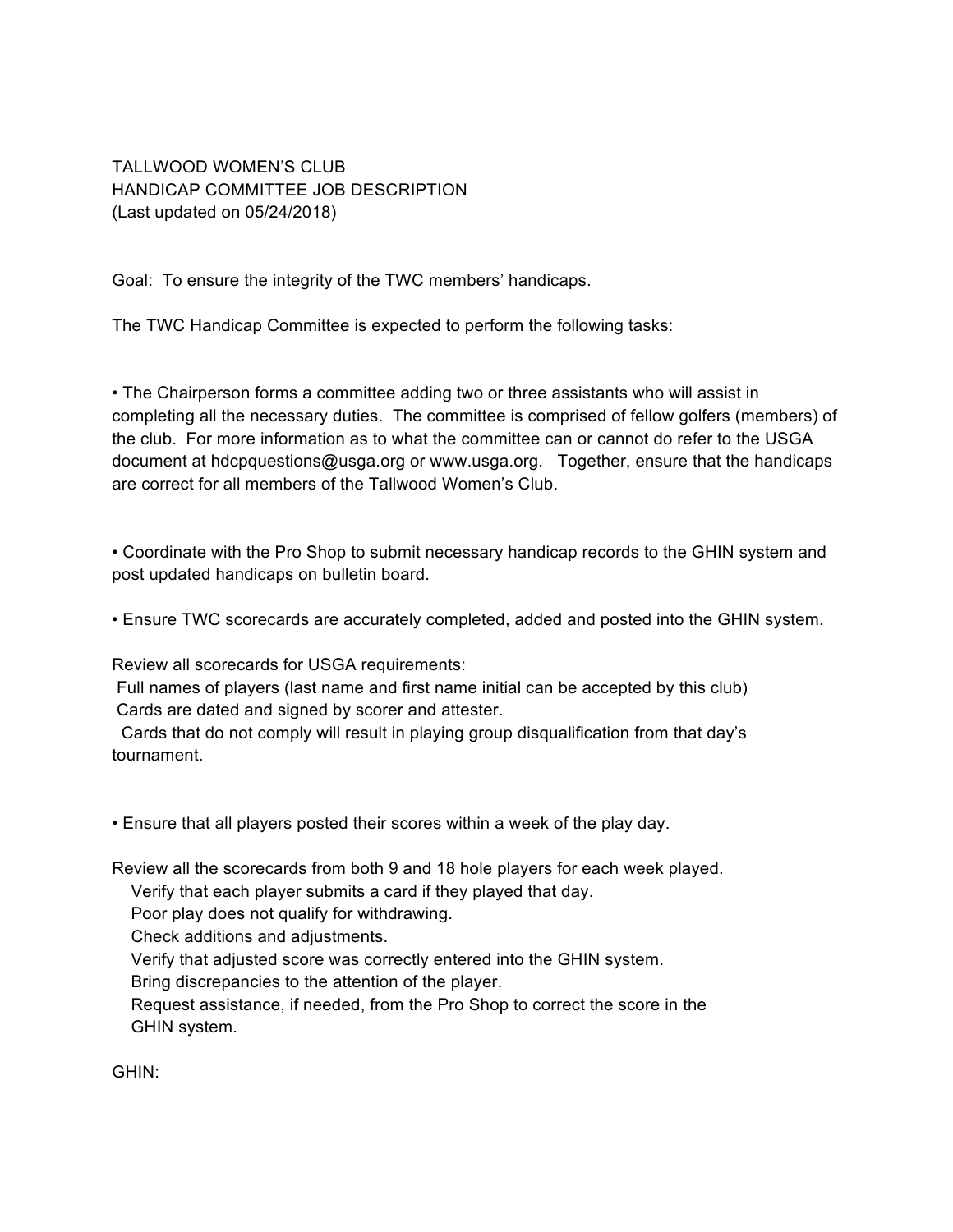TALLWOOD WOMEN'S CLUB HANDICAP COMMITTEE JOB DESCRIPTION (Last updated on 05/24/2018)

Goal: To ensure the integrity of the TWC members' handicaps.

The TWC Handicap Committee is expected to perform the following tasks:

• The Chairperson forms a committee adding two or three assistants who will assist in completing all the necessary duties. The committee is comprised of fellow golfers (members) of the club. For more information as to what the committee can or cannot do refer to the USGA document at hdcpquestions@usga.org or www.usga.org. Together, ensure that the handicaps are correct for all members of the Tallwood Women's Club.

• Coordinate with the Pro Shop to submit necessary handicap records to the GHIN system and post updated handicaps on bulletin board.

• Ensure TWC scorecards are accurately completed, added and posted into the GHIN system.

Review all scorecards for USGA requirements:

 Full names of players (last name and first name initial can be accepted by this club) Cards are dated and signed by scorer and attester.

 Cards that do not comply will result in playing group disqualification from that day's tournament.

• Ensure that all players posted their scores within a week of the play day.

Review all the scorecards from both 9 and 18 hole players for each week played.

Verify that each player submits a card if they played that day.

Poor play does not qualify for withdrawing.

Check additions and adjustments.

Verify that adjusted score was correctly entered into the GHIN system.

Bring discrepancies to the attention of the player.

 Request assistance, if needed, from the Pro Shop to correct the score in the GHIN system.

GHIN: